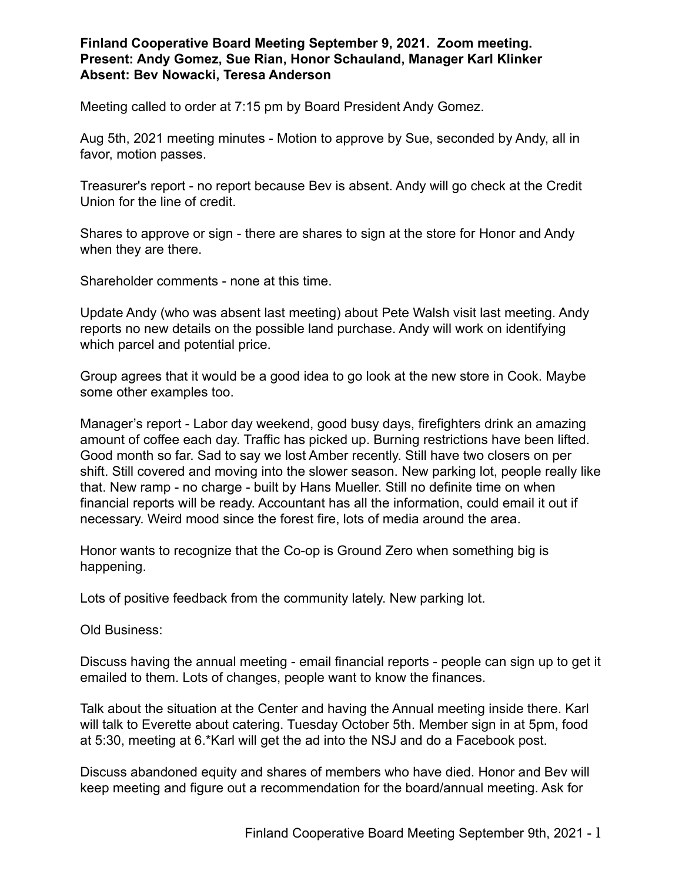**Finland Cooperative Board Meeting September 9, 2021. Zoom meeting. Present: Andy Gomez, Sue Rian, Honor Schauland, Manager Karl Klinker Absent: Bev Nowacki, Teresa Anderson**

Meeting called to order at 7:15 pm by Board President Andy Gomez.

Aug 5th, 2021 meeting minutes - Motion to approve by Sue, seconded by Andy, all in favor, motion passes.

Treasurer's report - no report because Bev is absent. Andy will go check at the Credit Union for the line of credit.

Shares to approve or sign - there are shares to sign at the store for Honor and Andy when they are there.

Shareholder comments - none at this time.

Update Andy (who was absent last meeting) about Pete Walsh visit last meeting. Andy reports no new details on the possible land purchase. Andy will work on identifying which parcel and potential price.

Group agrees that it would be a good idea to go look at the new store in Cook. Maybe some other examples too.

Manager's report - Labor day weekend, good busy days, firefighters drink an amazing amount of coffee each day. Traffic has picked up. Burning restrictions have been lifted. Good month so far. Sad to say we lost Amber recently. Still have two closers on per shift. Still covered and moving into the slower season. New parking lot, people really like that. New ramp - no charge - built by Hans Mueller. Still no definite time on when financial reports will be ready. Accountant has all the information, could email it out if necessary. Weird mood since the forest fire, lots of media around the area.

Honor wants to recognize that the Co-op is Ground Zero when something big is happening.

Lots of positive feedback from the community lately. New parking lot.

Old Business:

Discuss having the annual meeting - email financial reports - people can sign up to get it emailed to them. Lots of changes, people want to know the finances.

Talk about the situation at the Center and having the Annual meeting inside there. Karl will talk to Everette about catering. Tuesday October 5th. Member sign in at 5pm, food at 5:30, meeting at 6.\*Karl will get the ad into the NSJ and do a Facebook post.

Discuss abandoned equity and shares of members who have died. Honor and Bev will keep meeting and figure out a recommendation for the board/annual meeting. Ask for